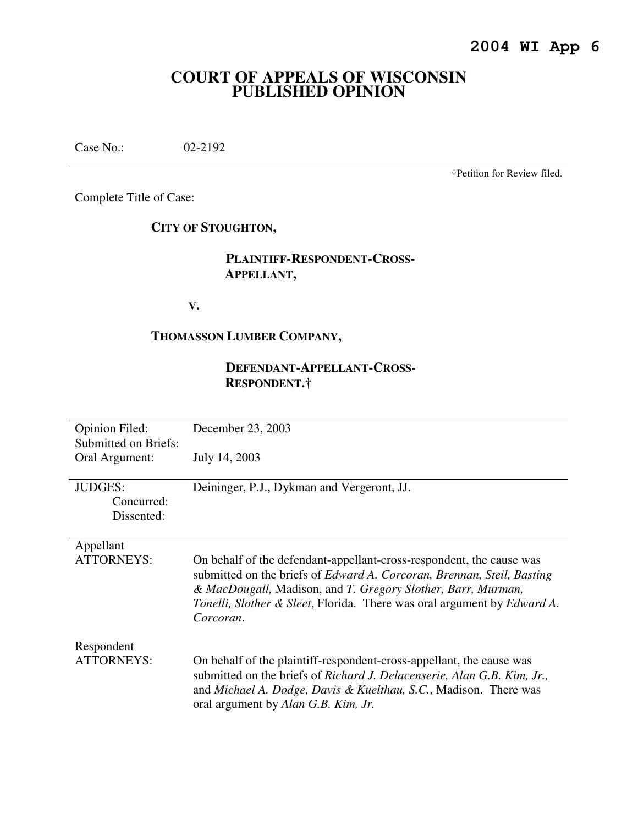# **COURT OF APPEALS OF WISCONSIN PUBLISHED OPINION**

Case No.: 02-2192

†Petition for Review filed.

Complete Title of Case:

# **CITY OF STOUGHTON,**

# **PLAINTIFF-RESPONDENT-CROSS- APPELLANT,**

**V.** 

# **THOMASSON LUMBER COMPANY,**

# **DEFENDANT-APPELLANT-CROSS- RESPONDENT.†**

| <b>Opinion Filed:</b><br><b>Submitted on Briefs:</b> | December 23, 2003                                                                                                                                                                                                                                                                                      |
|------------------------------------------------------|--------------------------------------------------------------------------------------------------------------------------------------------------------------------------------------------------------------------------------------------------------------------------------------------------------|
| Oral Argument:                                       | July 14, 2003                                                                                                                                                                                                                                                                                          |
| <b>JUDGES:</b><br>Concurred:<br>Dissented:           | Deininger, P.J., Dykman and Vergeront, JJ.                                                                                                                                                                                                                                                             |
| Appellant<br><b>ATTORNEYS:</b>                       | On behalf of the defendant-appellant-cross-respondent, the cause was<br>submitted on the briefs of Edward A. Corcoran, Brennan, Steil, Basting<br>& MacDougall, Madison, and T. Gregory Slother, Barr, Murman,<br>Tonelli, Slother & Sleet, Florida. There was oral argument by Edward A.<br>Corcoran. |
| Respondent<br><b>ATTORNEYS:</b>                      | On behalf of the plaintiff-respondent-cross-appellant, the cause was<br>submitted on the briefs of Richard J. Delacenserie, Alan G.B. Kim, Jr.,                                                                                                                                                        |
|                                                      | and Michael A. Dodge, Davis & Kuelthau, S.C., Madison. There was<br>oral argument by Alan G.B. Kim, Jr.                                                                                                                                                                                                |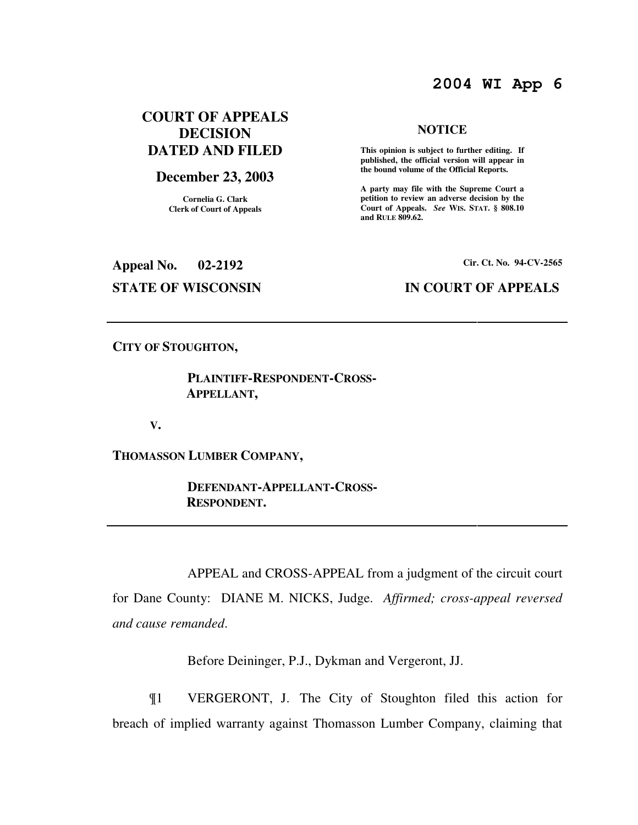# **2004 WI App 6**

# **COURT OF APPEALS DECISION DATED AND FILED**

# **December 23, 2003**

**Cornelia G. Clark Clerk of Court of Appeals**

#### **NOTICE**

 **This opinion is subject to further editing. If published, the official version will appear in the bound volume of the Official Reports.** 

**A party may file with the Supreme Court a petition to review an adverse decision by the Court of Appeals.** *See* **WIS. STAT. § 808.10 and RULE 809.62.** 

**Appeal No. 02-2192 Cir. Ct. No. 94-CV-2565**

# **STATE OF WISCONSIN IN COURT OF APPEALS**

### **CITY OF STOUGHTON,**

# **PLAINTIFF-RESPONDENT-CROSS- APPELLANT,**

**V.** 

**THOMASSON LUMBER COMPANY,** 

 **DEFENDANT-APPELLANT-CROSS- RESPONDENT.** 

 APPEAL and CROSS-APPEAL from a judgment of the circuit court for Dane County: DIANE M. NICKS, Judge. *Affirmed; cross-appeal reversed and cause remanded*.

Before Deininger, P.J., Dykman and Vergeront, JJ.

¶1 VERGERONT, J. The City of Stoughton filed this action for breach of implied warranty against Thomasson Lumber Company, claiming that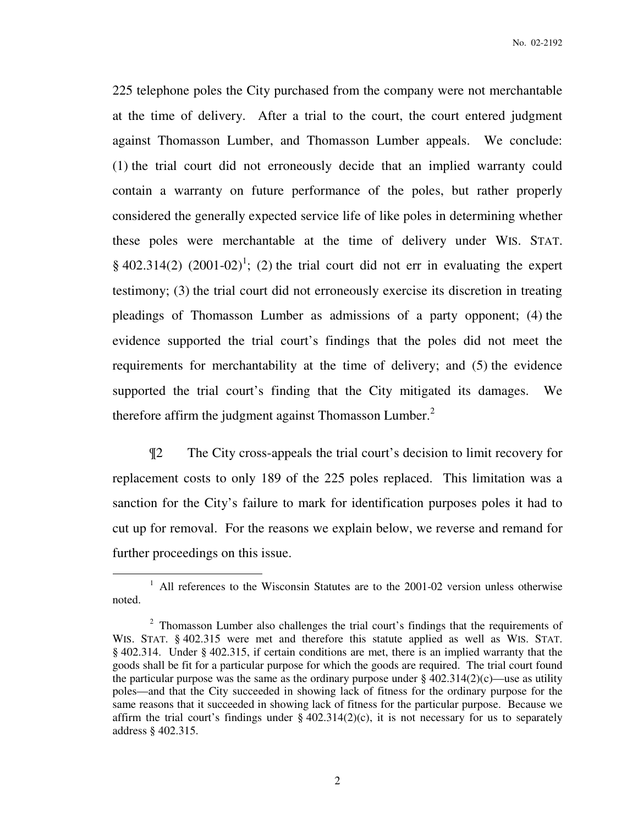225 telephone poles the City purchased from the company were not merchantable at the time of delivery. After a trial to the court, the court entered judgment against Thomasson Lumber, and Thomasson Lumber appeals. We conclude: (1) the trial court did not erroneously decide that an implied warranty could contain a warranty on future performance of the poles, but rather properly considered the generally expected service life of like poles in determining whether these poles were merchantable at the time of delivery under WIS. STAT. § 402.314(2) (2001-02)<sup>1</sup>; (2) the trial court did not err in evaluating the expert testimony; (3) the trial court did not erroneously exercise its discretion in treating pleadings of Thomasson Lumber as admissions of a party opponent; (4) the evidence supported the trial court's findings that the poles did not meet the requirements for merchantability at the time of delivery; and (5) the evidence supported the trial court's finding that the City mitigated its damages. We therefore affirm the judgment against Thomasson Lumber. $2$ 

¶2 The City cross-appeals the trial court's decision to limit recovery for replacement costs to only 189 of the 225 poles replaced. This limitation was a sanction for the City's failure to mark for identification purposes poles it had to cut up for removal. For the reasons we explain below, we reverse and remand for further proceedings on this issue.

 $1$  All references to the Wisconsin Statutes are to the 2001-02 version unless otherwise noted.

 $2$  Thomasson Lumber also challenges the trial court's findings that the requirements of WIS. STAT. § 402.315 were met and therefore this statute applied as well as WIS. STAT. § 402.314. Under § 402.315, if certain conditions are met, there is an implied warranty that the goods shall be fit for a particular purpose for which the goods are required. The trial court found the particular purpose was the same as the ordinary purpose under  $\S 402.314(2)(c)$ —use as utility poles—and that the City succeeded in showing lack of fitness for the ordinary purpose for the same reasons that it succeeded in showing lack of fitness for the particular purpose. Because we affirm the trial court's findings under  $\S$  402.314(2)(c), it is not necessary for us to separately address § 402.315.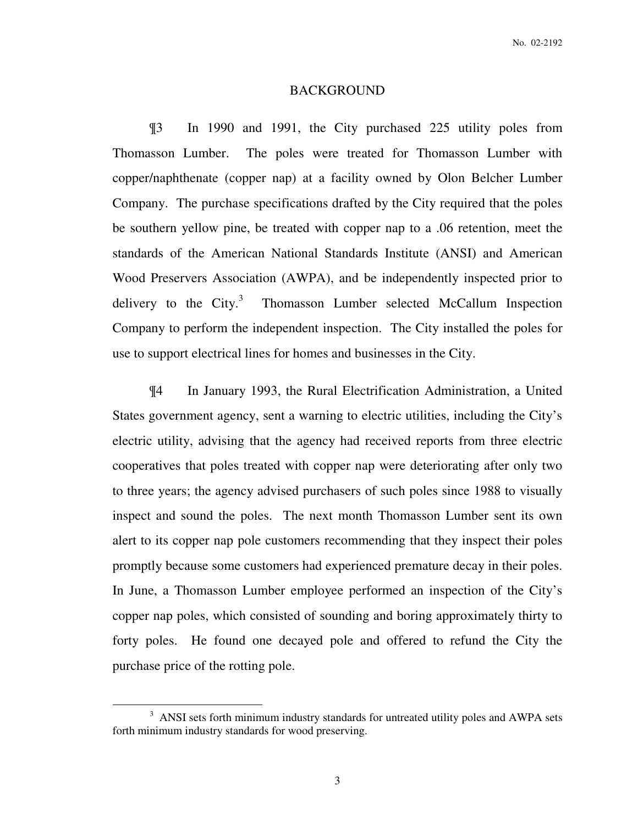#### BACKGROUND

¶3 In 1990 and 1991, the City purchased 225 utility poles from Thomasson Lumber. The poles were treated for Thomasson Lumber with copper/naphthenate (copper nap) at a facility owned by Olon Belcher Lumber Company. The purchase specifications drafted by the City required that the poles be southern yellow pine, be treated with copper nap to a .06 retention, meet the standards of the American National Standards Institute (ANSI) and American Wood Preservers Association (AWPA), and be independently inspected prior to delivery to the City. $3$  Thomasson Lumber selected McCallum Inspection Company to perform the independent inspection. The City installed the poles for use to support electrical lines for homes and businesses in the City.

¶4 In January 1993, the Rural Electrification Administration, a United States government agency, sent a warning to electric utilities, including the City's electric utility, advising that the agency had received reports from three electric cooperatives that poles treated with copper nap were deteriorating after only two to three years; the agency advised purchasers of such poles since 1988 to visually inspect and sound the poles. The next month Thomasson Lumber sent its own alert to its copper nap pole customers recommending that they inspect their poles promptly because some customers had experienced premature decay in their poles. In June, a Thomasson Lumber employee performed an inspection of the City's copper nap poles, which consisted of sounding and boring approximately thirty to forty poles. He found one decayed pole and offered to refund the City the purchase price of the rotting pole.

<sup>&</sup>lt;sup>3</sup> ANSI sets forth minimum industry standards for untreated utility poles and AWPA sets forth minimum industry standards for wood preserving.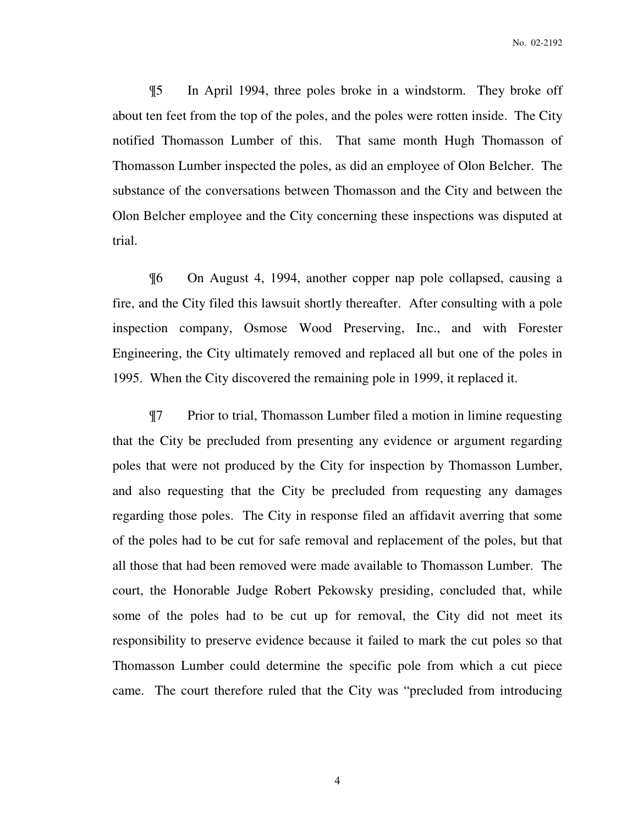¶5 In April 1994, three poles broke in a windstorm. They broke off about ten feet from the top of the poles, and the poles were rotten inside. The City notified Thomasson Lumber of this. That same month Hugh Thomasson of Thomasson Lumber inspected the poles, as did an employee of Olon Belcher. The substance of the conversations between Thomasson and the City and between the Olon Belcher employee and the City concerning these inspections was disputed at trial.

¶6 On August 4, 1994, another copper nap pole collapsed, causing a fire, and the City filed this lawsuit shortly thereafter. After consulting with a pole inspection company, Osmose Wood Preserving, Inc., and with Forester Engineering, the City ultimately removed and replaced all but one of the poles in 1995. When the City discovered the remaining pole in 1999, it replaced it.

¶7 Prior to trial, Thomasson Lumber filed a motion in limine requesting that the City be precluded from presenting any evidence or argument regarding poles that were not produced by the City for inspection by Thomasson Lumber, and also requesting that the City be precluded from requesting any damages regarding those poles. The City in response filed an affidavit averring that some of the poles had to be cut for safe removal and replacement of the poles, but that all those that had been removed were made available to Thomasson Lumber. The court, the Honorable Judge Robert Pekowsky presiding, concluded that, while some of the poles had to be cut up for removal, the City did not meet its responsibility to preserve evidence because it failed to mark the cut poles so that Thomasson Lumber could determine the specific pole from which a cut piece came. The court therefore ruled that the City was "precluded from introducing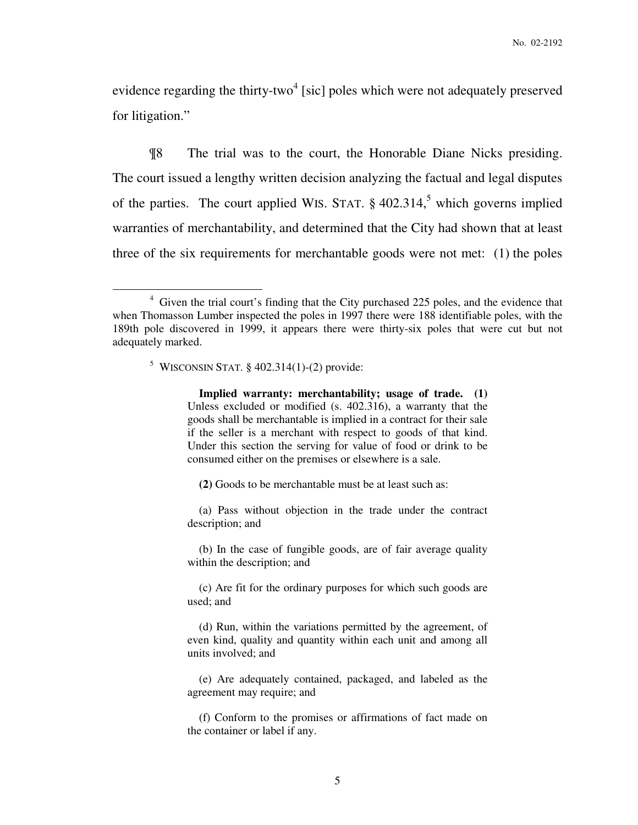evidence regarding the thirty-two<sup>4</sup> [sic] poles which were not adequately preserved for litigation."

¶8 The trial was to the court, the Honorable Diane Nicks presiding. The court issued a lengthy written decision analyzing the factual and legal disputes of the parties. The court applied WIS. STAT.  $\S 402.314$ ,<sup>5</sup> which governs implied warranties of merchantability, and determined that the City had shown that at least three of the six requirements for merchantable goods were not met: (1) the poles

# $5$  WISCONSIN STAT. § 402.314(1)-(2) provide:

 $\overline{a}$ 

 **Implied warranty: merchantability; usage of trade. (1)** Unless excluded or modified (s. 402.316), a warranty that the goods shall be merchantable is implied in a contract for their sale if the seller is a merchant with respect to goods of that kind. Under this section the serving for value of food or drink to be consumed either on the premises or elsewhere is a sale.

**(2)** Goods to be merchantable must be at least such as:

 (a) Pass without objection in the trade under the contract description; and

 (b) In the case of fungible goods, are of fair average quality within the description; and

 (c) Are fit for the ordinary purposes for which such goods are used; and

 (d) Run, within the variations permitted by the agreement, of even kind, quality and quantity within each unit and among all units involved; and

 (e) Are adequately contained, packaged, and labeled as the agreement may require; and

 (f) Conform to the promises or affirmations of fact made on the container or label if any.

<sup>&</sup>lt;sup>4</sup> Given the trial court's finding that the City purchased 225 poles, and the evidence that when Thomasson Lumber inspected the poles in 1997 there were 188 identifiable poles, with the 189th pole discovered in 1999, it appears there were thirty-six poles that were cut but not adequately marked.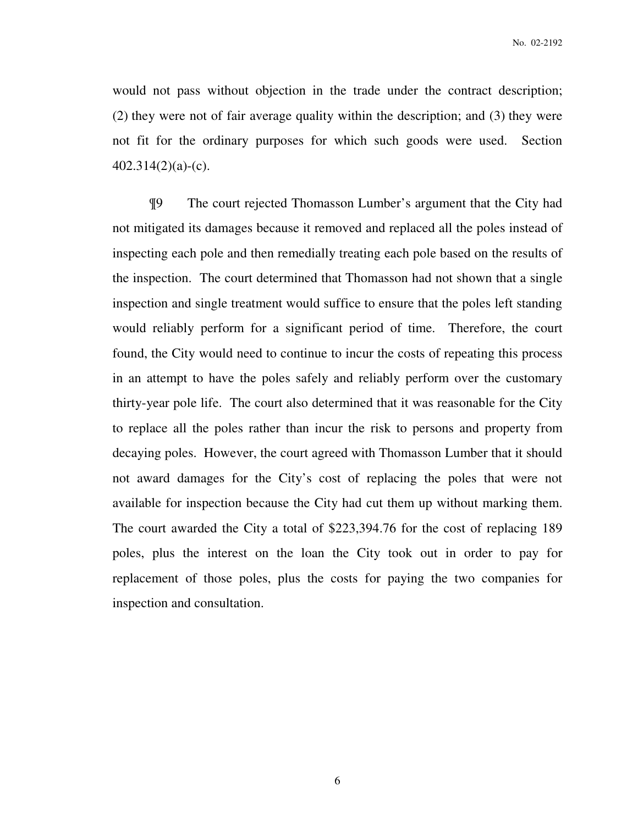would not pass without objection in the trade under the contract description; (2) they were not of fair average quality within the description; and (3) they were not fit for the ordinary purposes for which such goods were used. Section 402.314(2)(a)-(c).

¶9 The court rejected Thomasson Lumber's argument that the City had not mitigated its damages because it removed and replaced all the poles instead of inspecting each pole and then remedially treating each pole based on the results of the inspection. The court determined that Thomasson had not shown that a single inspection and single treatment would suffice to ensure that the poles left standing would reliably perform for a significant period of time. Therefore, the court found, the City would need to continue to incur the costs of repeating this process in an attempt to have the poles safely and reliably perform over the customary thirty-year pole life. The court also determined that it was reasonable for the City to replace all the poles rather than incur the risk to persons and property from decaying poles. However, the court agreed with Thomasson Lumber that it should not award damages for the City's cost of replacing the poles that were not available for inspection because the City had cut them up without marking them. The court awarded the City a total of \$223,394.76 for the cost of replacing 189 poles, plus the interest on the loan the City took out in order to pay for replacement of those poles, plus the costs for paying the two companies for inspection and consultation.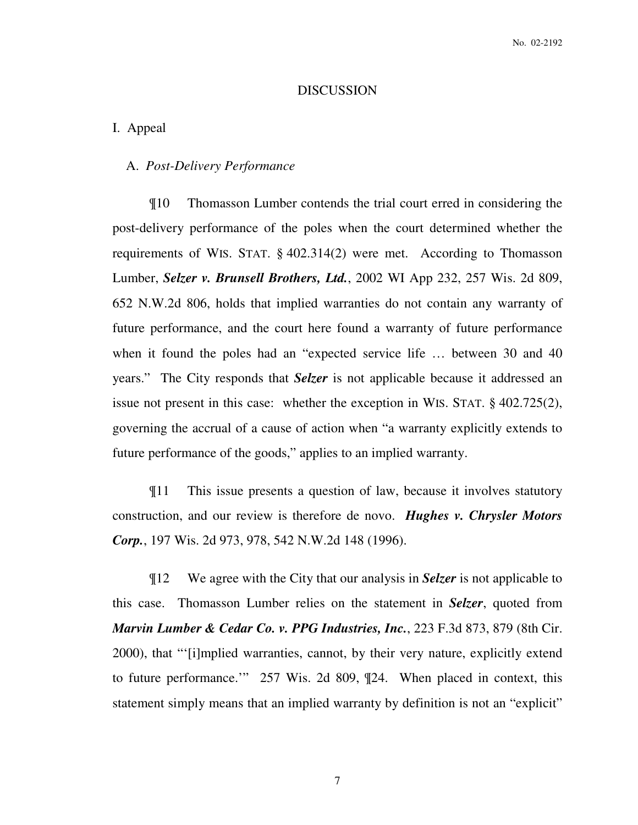#### DISCUSSION

#### I. Appeal

# A. *Post-Delivery Performance*

¶10 Thomasson Lumber contends the trial court erred in considering the post-delivery performance of the poles when the court determined whether the requirements of WIS. STAT. § 402.314(2) were met. According to Thomasson Lumber, *Selzer v. Brunsell Brothers, Ltd.*, 2002 WI App 232, 257 Wis. 2d 809, 652 N.W.2d 806, holds that implied warranties do not contain any warranty of future performance, and the court here found a warranty of future performance when it found the poles had an "expected service life ... between 30 and 40 years." The City responds that *Selzer* is not applicable because it addressed an issue not present in this case: whether the exception in WIS. STAT. § 402.725(2), governing the accrual of a cause of action when "a warranty explicitly extends to future performance of the goods," applies to an implied warranty.

¶11 This issue presents a question of law, because it involves statutory construction, and our review is therefore de novo. *Hughes v. Chrysler Motors Corp.*, 197 Wis. 2d 973, 978, 542 N.W.2d 148 (1996).

¶12 We agree with the City that our analysis in *Selzer* is not applicable to this case. Thomasson Lumber relies on the statement in *Selzer*, quoted from *Marvin Lumber & Cedar Co. v. PPG Industries, Inc.*, 223 F.3d 873, 879 (8th Cir. 2000), that "'[i]mplied warranties, cannot, by their very nature, explicitly extend to future performance.'" 257 Wis. 2d 809, ¶24. When placed in context, this statement simply means that an implied warranty by definition is not an "explicit"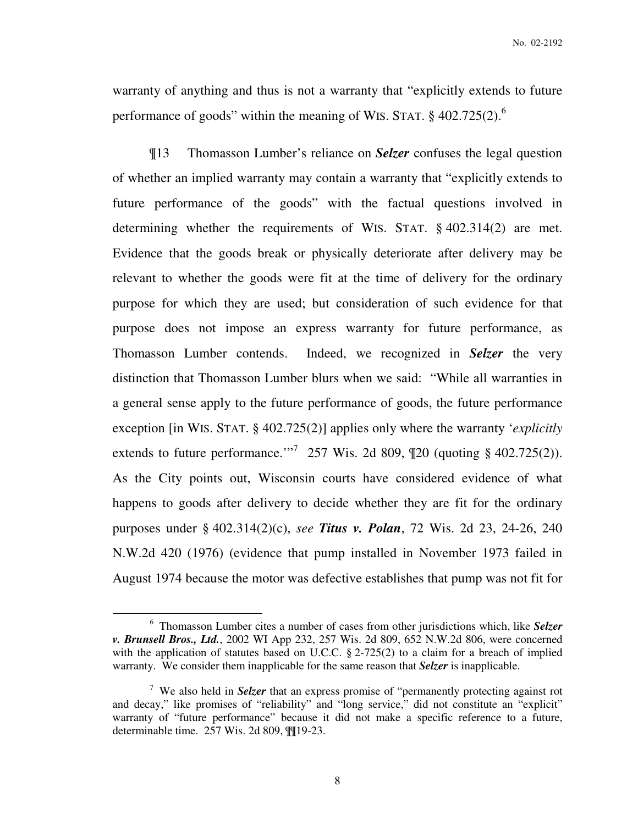warranty of anything and thus is not a warranty that "explicitly extends to future performance of goods" within the meaning of WIS. STAT.  $\S$  402.725(2).<sup>6</sup>

¶13 Thomasson Lumber's reliance on *Selzer* confuses the legal question of whether an implied warranty may contain a warranty that "explicitly extends to future performance of the goods" with the factual questions involved in determining whether the requirements of WIS. STAT. § 402.314(2) are met. Evidence that the goods break or physically deteriorate after delivery may be relevant to whether the goods were fit at the time of delivery for the ordinary purpose for which they are used; but consideration of such evidence for that purpose does not impose an express warranty for future performance, as Thomasson Lumber contends. Indeed, we recognized in *Selzer* the very distinction that Thomasson Lumber blurs when we said: "While all warranties in a general sense apply to the future performance of goods, the future performance exception [in WIS. STAT. § 402.725(2)] applies only where the warranty '*explicitly* extends to future performance."<sup>7</sup> 257 Wis. 2d 809,  $\P$ 20 (quoting § 402.725(2)). As the City points out, Wisconsin courts have considered evidence of what happens to goods after delivery to decide whether they are fit for the ordinary purposes under § 402.314(2)(c), *see Titus v. Polan*, 72 Wis. 2d 23, 24-26, 240 N.W.2d 420 (1976) (evidence that pump installed in November 1973 failed in August 1974 because the motor was defective establishes that pump was not fit for

<sup>6</sup> Thomasson Lumber cites a number of cases from other jurisdictions which, like *Selzer v. Brunsell Bros., Ltd.*, 2002 WI App 232, 257 Wis. 2d 809, 652 N.W.2d 806, were concerned with the application of statutes based on U.C.C. § 2-725(2) to a claim for a breach of implied warranty. We consider them inapplicable for the same reason that *Selzer* is inapplicable.

<sup>7</sup> We also held in *Selzer* that an express promise of "permanently protecting against rot and decay," like promises of "reliability" and "long service," did not constitute an "explicit" warranty of "future performance" because it did not make a specific reference to a future, determinable time. 257 Wis. 2d 809, ¶¶19-23.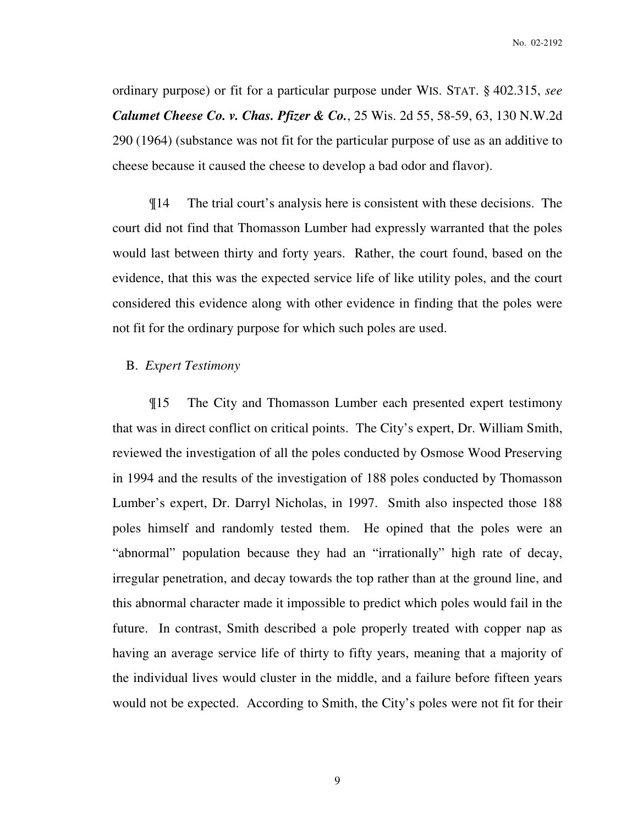ordinary purpose) or fit for a particular purpose under WIS. STAT. § 402.315, *see Calumet Cheese Co. v. Chas. Pfizer & Co.*, 25 Wis. 2d 55, 58-59, 63, 130 N.W.2d 290 (1964) (substance was not fit for the particular purpose of use as an additive to cheese because it caused the cheese to develop a bad odor and flavor).

¶14 The trial court's analysis here is consistent with these decisions. The court did not find that Thomasson Lumber had expressly warranted that the poles would last between thirty and forty years. Rather, the court found, based on the evidence, that this was the expected service life of like utility poles, and the court considered this evidence along with other evidence in finding that the poles were not fit for the ordinary purpose for which such poles are used.

## B. *Expert Testimony*

¶15 The City and Thomasson Lumber each presented expert testimony that was in direct conflict on critical points. The City's expert, Dr. William Smith, reviewed the investigation of all the poles conducted by Osmose Wood Preserving in 1994 and the results of the investigation of 188 poles conducted by Thomasson Lumber's expert, Dr. Darryl Nicholas, in 1997. Smith also inspected those 188 poles himself and randomly tested them. He opined that the poles were an "abnormal" population because they had an "irrationally" high rate of decay, irregular penetration, and decay towards the top rather than at the ground line, and this abnormal character made it impossible to predict which poles would fail in the future. In contrast, Smith described a pole properly treated with copper nap as having an average service life of thirty to fifty years, meaning that a majority of the individual lives would cluster in the middle, and a failure before fifteen years would not be expected. According to Smith, the City's poles were not fit for their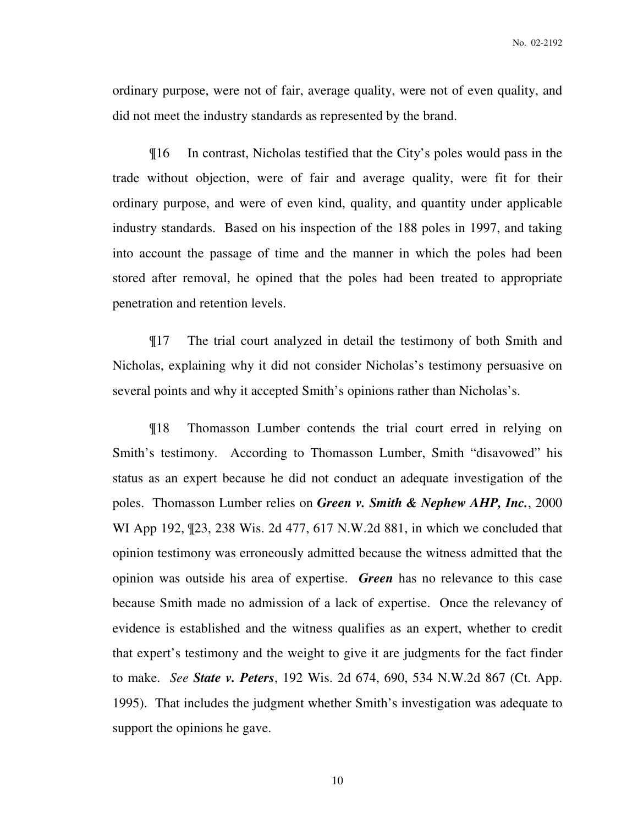ordinary purpose, were not of fair, average quality, were not of even quality, and did not meet the industry standards as represented by the brand.

¶16 In contrast, Nicholas testified that the City's poles would pass in the trade without objection, were of fair and average quality, were fit for their ordinary purpose, and were of even kind, quality, and quantity under applicable industry standards. Based on his inspection of the 188 poles in 1997, and taking into account the passage of time and the manner in which the poles had been stored after removal, he opined that the poles had been treated to appropriate penetration and retention levels.

¶17 The trial court analyzed in detail the testimony of both Smith and Nicholas, explaining why it did not consider Nicholas's testimony persuasive on several points and why it accepted Smith's opinions rather than Nicholas's.

¶18 Thomasson Lumber contends the trial court erred in relying on Smith's testimony. According to Thomasson Lumber, Smith "disavowed" his status as an expert because he did not conduct an adequate investigation of the poles. Thomasson Lumber relies on *Green v. Smith & Nephew AHP, Inc.*, 2000 WI App 192, ¶23, 238 Wis. 2d 477, 617 N.W.2d 881, in which we concluded that opinion testimony was erroneously admitted because the witness admitted that the opinion was outside his area of expertise. *Green* has no relevance to this case because Smith made no admission of a lack of expertise. Once the relevancy of evidence is established and the witness qualifies as an expert, whether to credit that expert's testimony and the weight to give it are judgments for the fact finder to make. *See State v. Peters*, 192 Wis. 2d 674, 690, 534 N.W.2d 867 (Ct. App. 1995). That includes the judgment whether Smith's investigation was adequate to support the opinions he gave.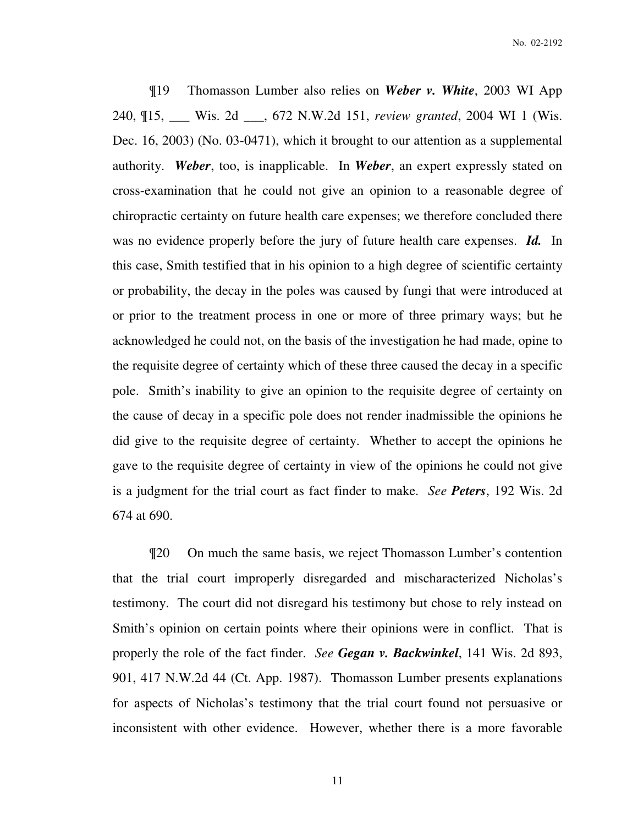¶19 Thomasson Lumber also relies on *Weber v. White*, 2003 WI App 240, ¶15, \_\_\_ Wis. 2d \_\_\_, 672 N.W.2d 151, *review granted*, 2004 WI 1 (Wis. Dec. 16, 2003) (No. 03-0471), which it brought to our attention as a supplemental authority. *Weber*, too, is inapplicable. In *Weber*, an expert expressly stated on cross-examination that he could not give an opinion to a reasonable degree of chiropractic certainty on future health care expenses; we therefore concluded there was no evidence properly before the jury of future health care expenses. *Id.* In this case, Smith testified that in his opinion to a high degree of scientific certainty or probability, the decay in the poles was caused by fungi that were introduced at or prior to the treatment process in one or more of three primary ways; but he acknowledged he could not, on the basis of the investigation he had made, opine to the requisite degree of certainty which of these three caused the decay in a specific pole. Smith's inability to give an opinion to the requisite degree of certainty on the cause of decay in a specific pole does not render inadmissible the opinions he did give to the requisite degree of certainty. Whether to accept the opinions he gave to the requisite degree of certainty in view of the opinions he could not give is a judgment for the trial court as fact finder to make. *See Peters*, 192 Wis. 2d 674 at 690.

¶20 On much the same basis, we reject Thomasson Lumber's contention that the trial court improperly disregarded and mischaracterized Nicholas's testimony. The court did not disregard his testimony but chose to rely instead on Smith's opinion on certain points where their opinions were in conflict. That is properly the role of the fact finder. *See Gegan v. Backwinkel*, 141 Wis. 2d 893, 901, 417 N.W.2d 44 (Ct. App. 1987). Thomasson Lumber presents explanations for aspects of Nicholas's testimony that the trial court found not persuasive or inconsistent with other evidence. However, whether there is a more favorable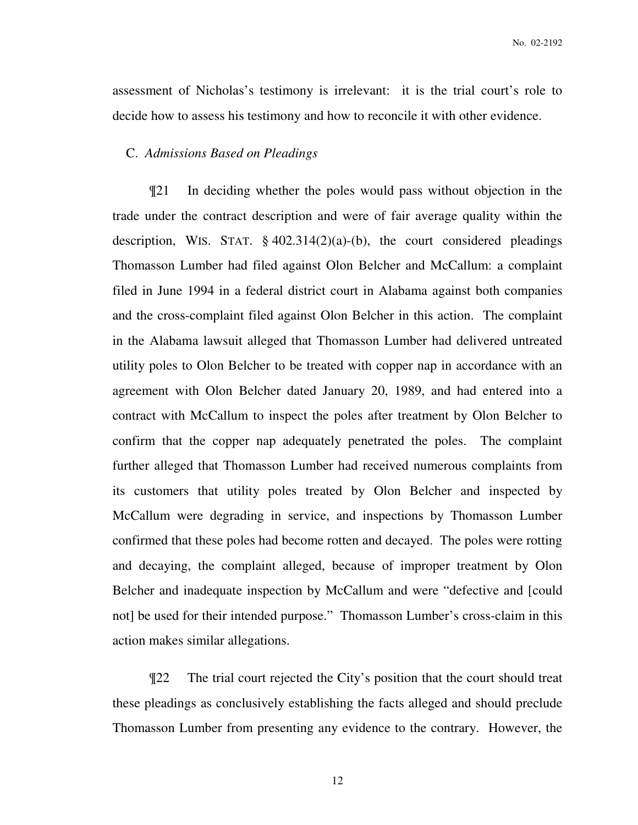assessment of Nicholas's testimony is irrelevant: it is the trial court's role to decide how to assess his testimony and how to reconcile it with other evidence.

#### C. *Admissions Based on Pleadings*

¶21 In deciding whether the poles would pass without objection in the trade under the contract description and were of fair average quality within the description, WIS. STAT.  $\S 402.314(2)(a)$ -(b), the court considered pleadings Thomasson Lumber had filed against Olon Belcher and McCallum: a complaint filed in June 1994 in a federal district court in Alabama against both companies and the cross-complaint filed against Olon Belcher in this action. The complaint in the Alabama lawsuit alleged that Thomasson Lumber had delivered untreated utility poles to Olon Belcher to be treated with copper nap in accordance with an agreement with Olon Belcher dated January 20, 1989, and had entered into a contract with McCallum to inspect the poles after treatment by Olon Belcher to confirm that the copper nap adequately penetrated the poles. The complaint further alleged that Thomasson Lumber had received numerous complaints from its customers that utility poles treated by Olon Belcher and inspected by McCallum were degrading in service, and inspections by Thomasson Lumber confirmed that these poles had become rotten and decayed. The poles were rotting and decaying, the complaint alleged, because of improper treatment by Olon Belcher and inadequate inspection by McCallum and were "defective and [could not] be used for their intended purpose." Thomasson Lumber's cross-claim in this action makes similar allegations.

¶22 The trial court rejected the City's position that the court should treat these pleadings as conclusively establishing the facts alleged and should preclude Thomasson Lumber from presenting any evidence to the contrary. However, the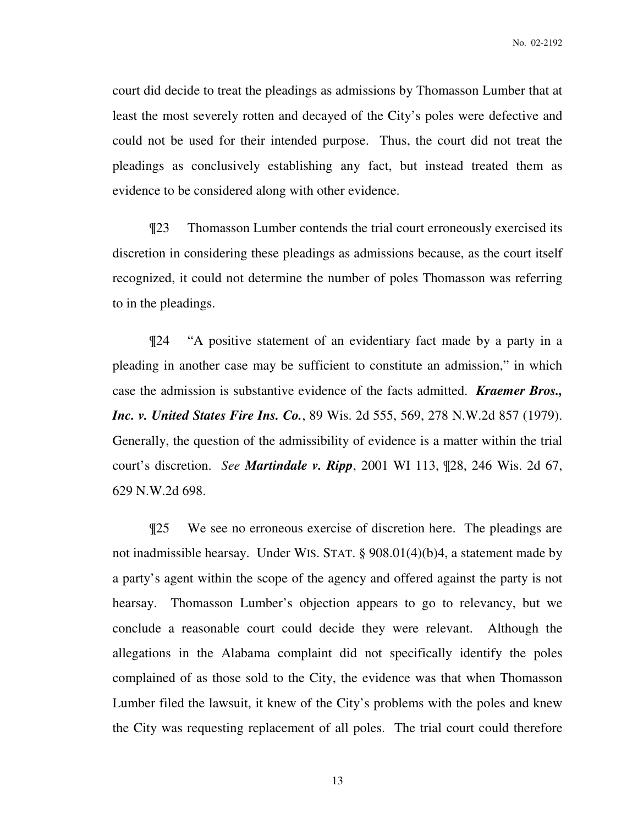court did decide to treat the pleadings as admissions by Thomasson Lumber that at least the most severely rotten and decayed of the City's poles were defective and could not be used for their intended purpose. Thus, the court did not treat the pleadings as conclusively establishing any fact, but instead treated them as evidence to be considered along with other evidence.

¶23 Thomasson Lumber contends the trial court erroneously exercised its discretion in considering these pleadings as admissions because, as the court itself recognized, it could not determine the number of poles Thomasson was referring to in the pleadings.

¶24 "A positive statement of an evidentiary fact made by a party in a pleading in another case may be sufficient to constitute an admission," in which case the admission is substantive evidence of the facts admitted. *Kraemer Bros., Inc. v. United States Fire Ins. Co.*, 89 Wis. 2d 555, 569, 278 N.W.2d 857 (1979). Generally, the question of the admissibility of evidence is a matter within the trial court's discretion. *See Martindale v. Ripp*, 2001 WI 113, ¶28, 246 Wis. 2d 67, 629 N.W.2d 698.

¶25 We see no erroneous exercise of discretion here. The pleadings are not inadmissible hearsay. Under WIS. STAT. § 908.01(4)(b)4, a statement made by a party's agent within the scope of the agency and offered against the party is not hearsay. Thomasson Lumber's objection appears to go to relevancy, but we conclude a reasonable court could decide they were relevant. Although the allegations in the Alabama complaint did not specifically identify the poles complained of as those sold to the City, the evidence was that when Thomasson Lumber filed the lawsuit, it knew of the City's problems with the poles and knew the City was requesting replacement of all poles. The trial court could therefore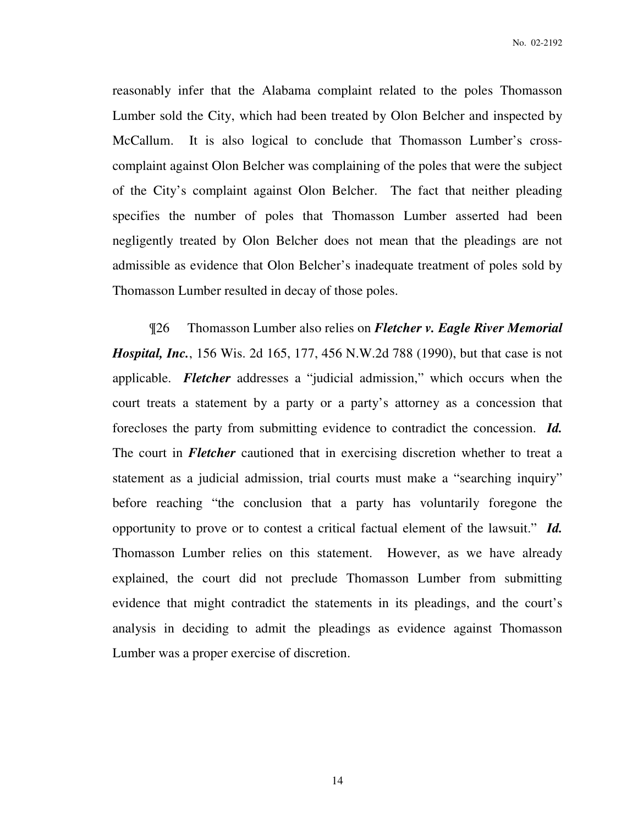reasonably infer that the Alabama complaint related to the poles Thomasson Lumber sold the City, which had been treated by Olon Belcher and inspected by McCallum. It is also logical to conclude that Thomasson Lumber's crosscomplaint against Olon Belcher was complaining of the poles that were the subject of the City's complaint against Olon Belcher. The fact that neither pleading specifies the number of poles that Thomasson Lumber asserted had been negligently treated by Olon Belcher does not mean that the pleadings are not admissible as evidence that Olon Belcher's inadequate treatment of poles sold by Thomasson Lumber resulted in decay of those poles.

¶26 Thomasson Lumber also relies on *Fletcher v. Eagle River Memorial Hospital, Inc.*, 156 Wis. 2d 165, 177, 456 N.W.2d 788 (1990), but that case is not applicable. *Fletcher* addresses a "judicial admission," which occurs when the court treats a statement by a party or a party's attorney as a concession that forecloses the party from submitting evidence to contradict the concession. *Id.* The court in *Fletcher* cautioned that in exercising discretion whether to treat a statement as a judicial admission, trial courts must make a "searching inquiry" before reaching "the conclusion that a party has voluntarily foregone the opportunity to prove or to contest a critical factual element of the lawsuit." *Id.* Thomasson Lumber relies on this statement. However, as we have already explained, the court did not preclude Thomasson Lumber from submitting evidence that might contradict the statements in its pleadings, and the court's analysis in deciding to admit the pleadings as evidence against Thomasson Lumber was a proper exercise of discretion.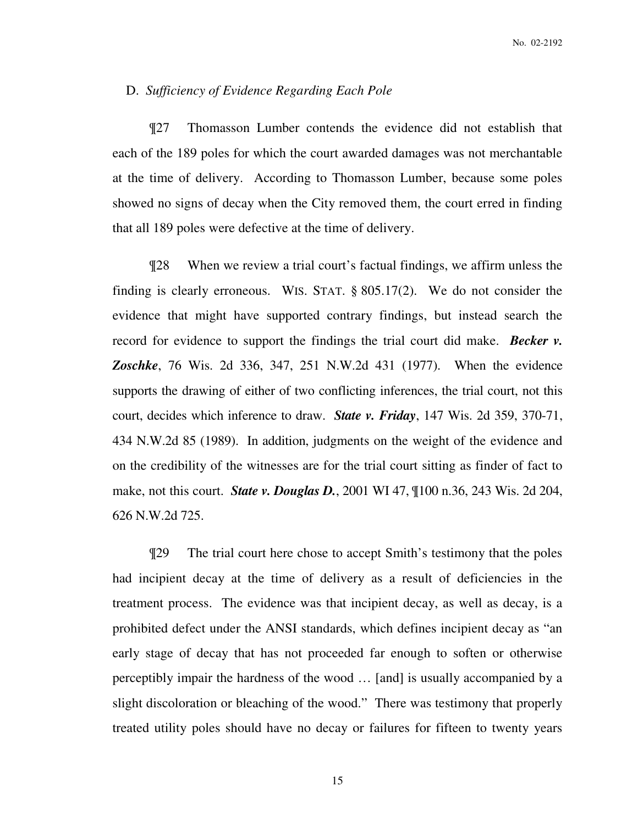#### D. *Sufficiency of Evidence Regarding Each Pole*

¶27 Thomasson Lumber contends the evidence did not establish that each of the 189 poles for which the court awarded damages was not merchantable at the time of delivery. According to Thomasson Lumber, because some poles showed no signs of decay when the City removed them, the court erred in finding that all 189 poles were defective at the time of delivery.

¶28 When we review a trial court's factual findings, we affirm unless the finding is clearly erroneous. WIS. STAT. § 805.17(2). We do not consider the evidence that might have supported contrary findings, but instead search the record for evidence to support the findings the trial court did make. *Becker v. Zoschke*, 76 Wis. 2d 336, 347, 251 N.W.2d 431 (1977). When the evidence supports the drawing of either of two conflicting inferences, the trial court, not this court, decides which inference to draw. *State v. Friday*, 147 Wis. 2d 359, 370-71, 434 N.W.2d 85 (1989). In addition, judgments on the weight of the evidence and on the credibility of the witnesses are for the trial court sitting as finder of fact to make, not this court. *State v. Douglas D.*, 2001 WI 47, ¶100 n.36, 243 Wis. 2d 204, 626 N.W.2d 725.

¶29 The trial court here chose to accept Smith's testimony that the poles had incipient decay at the time of delivery as a result of deficiencies in the treatment process. The evidence was that incipient decay, as well as decay, is a prohibited defect under the ANSI standards, which defines incipient decay as "an early stage of decay that has not proceeded far enough to soften or otherwise perceptibly impair the hardness of the wood … [and] is usually accompanied by a slight discoloration or bleaching of the wood." There was testimony that properly treated utility poles should have no decay or failures for fifteen to twenty years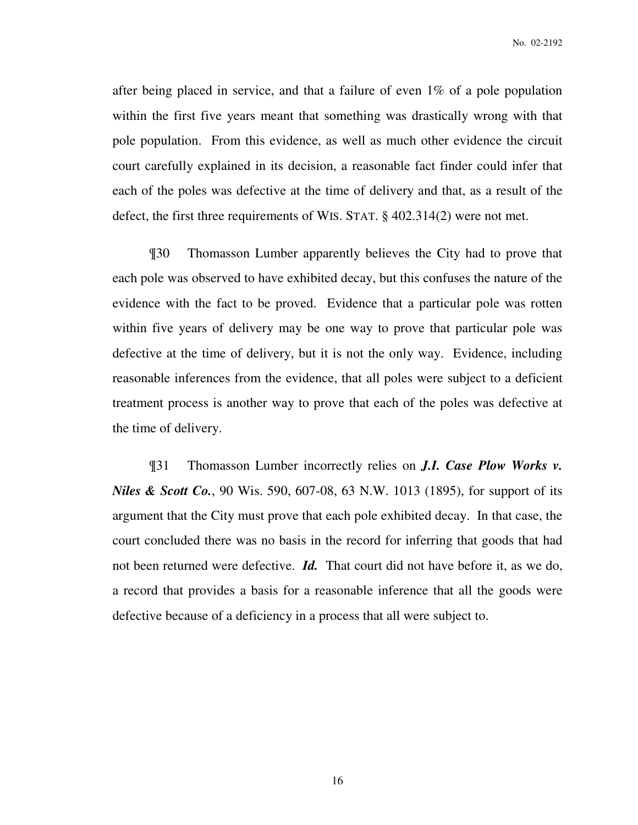after being placed in service, and that a failure of even 1% of a pole population within the first five years meant that something was drastically wrong with that pole population. From this evidence, as well as much other evidence the circuit court carefully explained in its decision, a reasonable fact finder could infer that each of the poles was defective at the time of delivery and that, as a result of the defect, the first three requirements of WIS. STAT. § 402.314(2) were not met.

¶30 Thomasson Lumber apparently believes the City had to prove that each pole was observed to have exhibited decay, but this confuses the nature of the evidence with the fact to be proved. Evidence that a particular pole was rotten within five years of delivery may be one way to prove that particular pole was defective at the time of delivery, but it is not the only way. Evidence, including reasonable inferences from the evidence, that all poles were subject to a deficient treatment process is another way to prove that each of the poles was defective at the time of delivery.

¶31 Thomasson Lumber incorrectly relies on *J.I. Case Plow Works v. Niles & Scott Co.*, 90 Wis. 590, 607-08, 63 N.W. 1013 (1895), for support of its argument that the City must prove that each pole exhibited decay. In that case, the court concluded there was no basis in the record for inferring that goods that had not been returned were defective. *Id.* That court did not have before it, as we do, a record that provides a basis for a reasonable inference that all the goods were defective because of a deficiency in a process that all were subject to.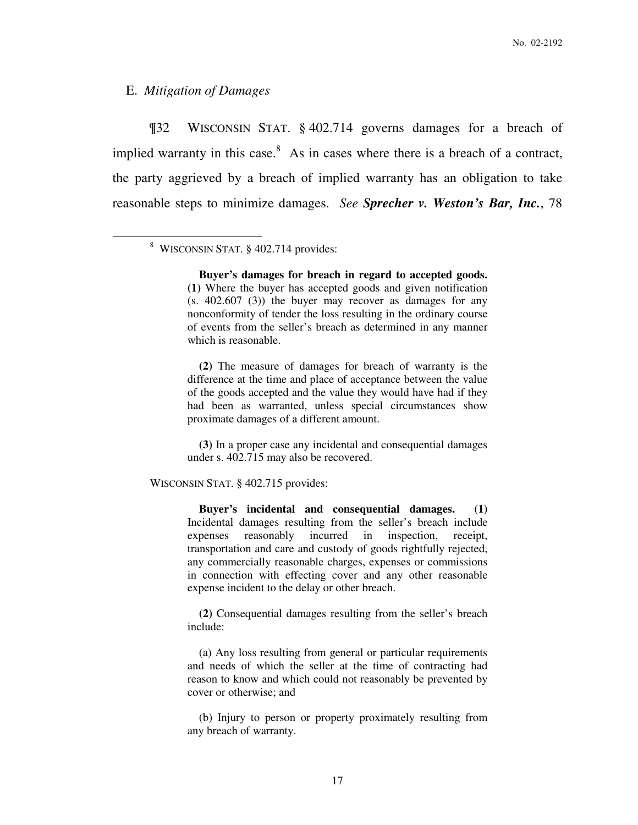### E. *Mitigation of Damages*

 $\overline{a}$ 

¶32 WISCONSIN STAT. § 402.714 governs damages for a breach of implied warranty in this case. $8$  As in cases where there is a breach of a contract, the party aggrieved by a breach of implied warranty has an obligation to take reasonable steps to minimize damages. *See Sprecher v. Weston's Bar, Inc.*, 78

8 WISCONSIN STAT. § 402.714 provides:

 **Buyer's damages for breach in regard to accepted goods. (1)** Where the buyer has accepted goods and given notification (s. 402.607 (3)) the buyer may recover as damages for any nonconformity of tender the loss resulting in the ordinary course of events from the seller's breach as determined in any manner which is reasonable.

 **(2)** The measure of damages for breach of warranty is the difference at the time and place of acceptance between the value of the goods accepted and the value they would have had if they had been as warranted, unless special circumstances show proximate damages of a different amount.

 **(3)** In a proper case any incidental and consequential damages under s. 402.715 may also be recovered.

WISCONSIN STAT. § 402.715 provides:

 **Buyer's incidental and consequential damages. (1)** Incidental damages resulting from the seller's breach include expenses reasonably incurred in inspection, receipt, transportation and care and custody of goods rightfully rejected, any commercially reasonable charges, expenses or commissions in connection with effecting cover and any other reasonable expense incident to the delay or other breach.

 **(2)** Consequential damages resulting from the seller's breach include:

 (a) Any loss resulting from general or particular requirements and needs of which the seller at the time of contracting had reason to know and which could not reasonably be prevented by cover or otherwise; and

 (b) Injury to person or property proximately resulting from any breach of warranty.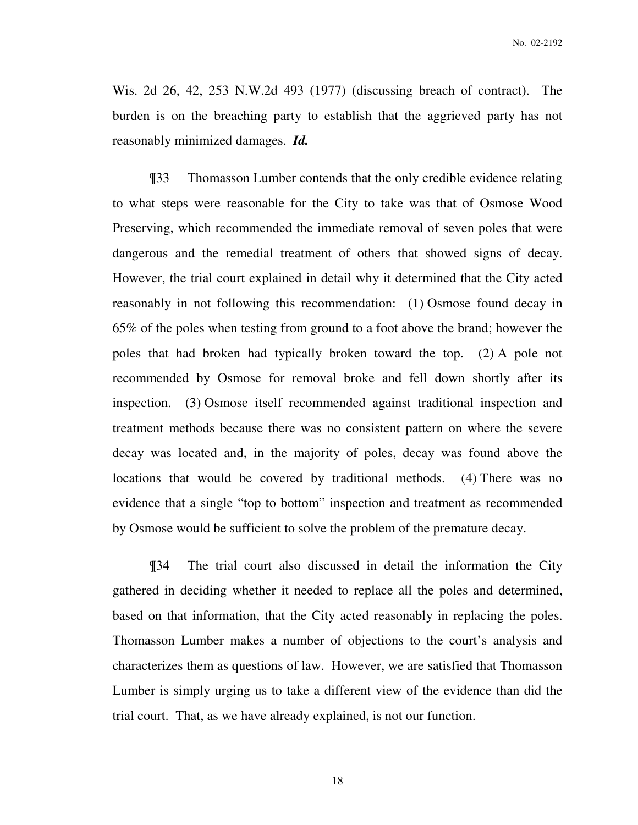Wis. 2d 26, 42, 253 N.W.2d 493 (1977) (discussing breach of contract). The burden is on the breaching party to establish that the aggrieved party has not reasonably minimized damages. *Id.*

¶33 Thomasson Lumber contends that the only credible evidence relating to what steps were reasonable for the City to take was that of Osmose Wood Preserving, which recommended the immediate removal of seven poles that were dangerous and the remedial treatment of others that showed signs of decay. However, the trial court explained in detail why it determined that the City acted reasonably in not following this recommendation: (1) Osmose found decay in 65% of the poles when testing from ground to a foot above the brand; however the poles that had broken had typically broken toward the top. (2) A pole not recommended by Osmose for removal broke and fell down shortly after its inspection. (3) Osmose itself recommended against traditional inspection and treatment methods because there was no consistent pattern on where the severe decay was located and, in the majority of poles, decay was found above the locations that would be covered by traditional methods. (4) There was no evidence that a single "top to bottom" inspection and treatment as recommended by Osmose would be sufficient to solve the problem of the premature decay.

¶34 The trial court also discussed in detail the information the City gathered in deciding whether it needed to replace all the poles and determined, based on that information, that the City acted reasonably in replacing the poles. Thomasson Lumber makes a number of objections to the court's analysis and characterizes them as questions of law. However, we are satisfied that Thomasson Lumber is simply urging us to take a different view of the evidence than did the trial court. That, as we have already explained, is not our function.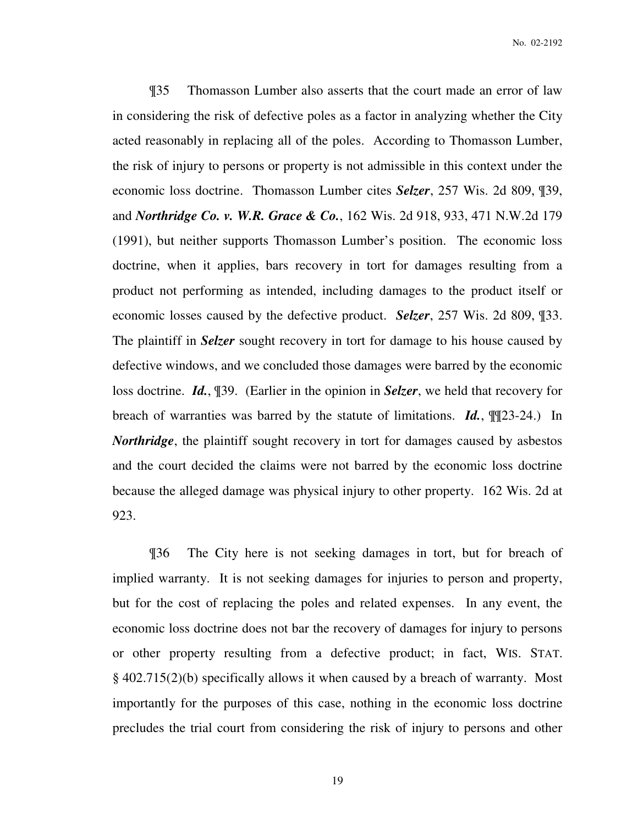¶35 Thomasson Lumber also asserts that the court made an error of law in considering the risk of defective poles as a factor in analyzing whether the City acted reasonably in replacing all of the poles. According to Thomasson Lumber, the risk of injury to persons or property is not admissible in this context under the economic loss doctrine. Thomasson Lumber cites *Selzer*, 257 Wis. 2d 809, ¶39, and *Northridge Co. v. W.R. Grace & Co.*, 162 Wis. 2d 918, 933, 471 N.W.2d 179 (1991), but neither supports Thomasson Lumber's position. The economic loss doctrine, when it applies, bars recovery in tort for damages resulting from a product not performing as intended, including damages to the product itself or economic losses caused by the defective product. *Selzer*, 257 Wis. 2d 809, ¶33. The plaintiff in *Selzer* sought recovery in tort for damage to his house caused by defective windows, and we concluded those damages were barred by the economic loss doctrine. *Id.*, ¶39. (Earlier in the opinion in *Selzer*, we held that recovery for breach of warranties was barred by the statute of limitations. *Id.*, ¶¶23-24.) In *Northridge*, the plaintiff sought recovery in tort for damages caused by asbestos and the court decided the claims were not barred by the economic loss doctrine because the alleged damage was physical injury to other property. 162 Wis. 2d at 923.

¶36 The City here is not seeking damages in tort, but for breach of implied warranty. It is not seeking damages for injuries to person and property, but for the cost of replacing the poles and related expenses. In any event, the economic loss doctrine does not bar the recovery of damages for injury to persons or other property resulting from a defective product; in fact, WIS. STAT. § 402.715(2)(b) specifically allows it when caused by a breach of warranty. Most importantly for the purposes of this case, nothing in the economic loss doctrine precludes the trial court from considering the risk of injury to persons and other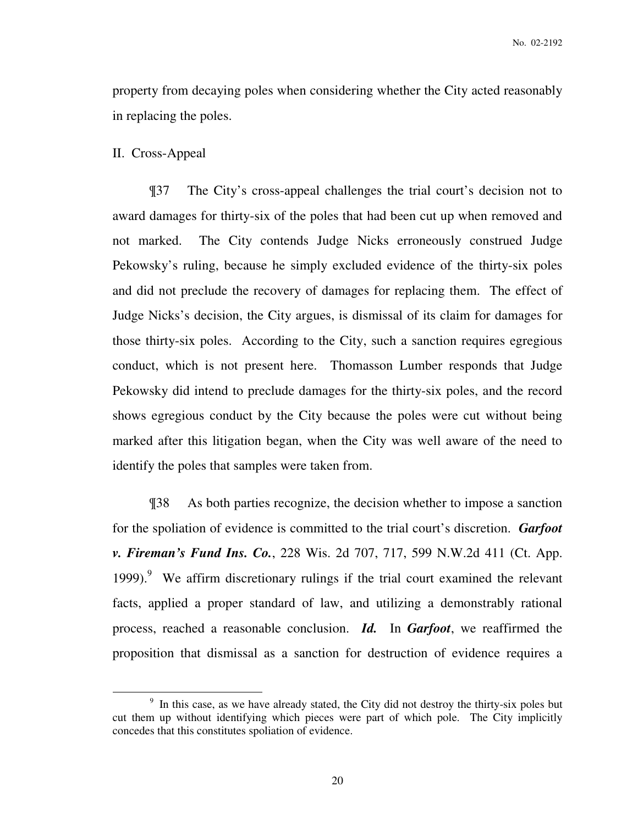property from decaying poles when considering whether the City acted reasonably in replacing the poles.

II. Cross-Appeal

 $\overline{a}$ 

¶37 The City's cross-appeal challenges the trial court's decision not to award damages for thirty-six of the poles that had been cut up when removed and not marked. The City contends Judge Nicks erroneously construed Judge Pekowsky's ruling, because he simply excluded evidence of the thirty-six poles and did not preclude the recovery of damages for replacing them. The effect of Judge Nicks's decision, the City argues, is dismissal of its claim for damages for those thirty-six poles. According to the City, such a sanction requires egregious conduct, which is not present here. Thomasson Lumber responds that Judge Pekowsky did intend to preclude damages for the thirty-six poles, and the record shows egregious conduct by the City because the poles were cut without being marked after this litigation began, when the City was well aware of the need to identify the poles that samples were taken from.

¶38 As both parties recognize, the decision whether to impose a sanction for the spoliation of evidence is committed to the trial court's discretion. *Garfoot v. Fireman's Fund Ins. Co.*, 228 Wis. 2d 707, 717, 599 N.W.2d 411 (Ct. App. 1999).<sup>9</sup> We affirm discretionary rulings if the trial court examined the relevant facts, applied a proper standard of law, and utilizing a demonstrably rational process, reached a reasonable conclusion. *Id.* In *Garfoot*, we reaffirmed the proposition that dismissal as a sanction for destruction of evidence requires a

<sup>&</sup>lt;sup>9</sup> In this case, as we have already stated, the City did not destroy the thirty-six poles but cut them up without identifying which pieces were part of which pole. The City implicitly concedes that this constitutes spoliation of evidence.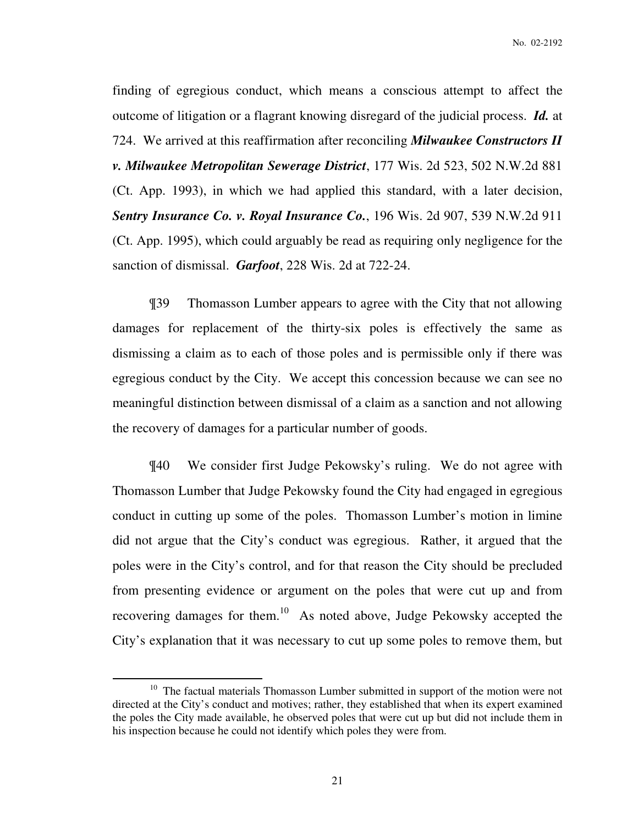finding of egregious conduct, which means a conscious attempt to affect the outcome of litigation or a flagrant knowing disregard of the judicial process. *Id.* at 724. We arrived at this reaffirmation after reconciling *Milwaukee Constructors II v. Milwaukee Metropolitan Sewerage District*, 177 Wis. 2d 523, 502 N.W.2d 881 (Ct. App. 1993), in which we had applied this standard, with a later decision, *Sentry Insurance Co. v. Royal Insurance Co.*, 196 Wis. 2d 907, 539 N.W.2d 911 (Ct. App. 1995), which could arguably be read as requiring only negligence for the sanction of dismissal. *Garfoot*, 228 Wis. 2d at 722-24.

¶39 Thomasson Lumber appears to agree with the City that not allowing damages for replacement of the thirty-six poles is effectively the same as dismissing a claim as to each of those poles and is permissible only if there was egregious conduct by the City. We accept this concession because we can see no meaningful distinction between dismissal of a claim as a sanction and not allowing the recovery of damages for a particular number of goods.

¶40 We consider first Judge Pekowsky's ruling. We do not agree with Thomasson Lumber that Judge Pekowsky found the City had engaged in egregious conduct in cutting up some of the poles. Thomasson Lumber's motion in limine did not argue that the City's conduct was egregious. Rather, it argued that the poles were in the City's control, and for that reason the City should be precluded from presenting evidence or argument on the poles that were cut up and from recovering damages for them.<sup>10</sup> As noted above, Judge Pekowsky accepted the City's explanation that it was necessary to cut up some poles to remove them, but

<sup>&</sup>lt;sup>10</sup> The factual materials Thomasson Lumber submitted in support of the motion were not directed at the City's conduct and motives; rather, they established that when its expert examined the poles the City made available, he observed poles that were cut up but did not include them in his inspection because he could not identify which poles they were from.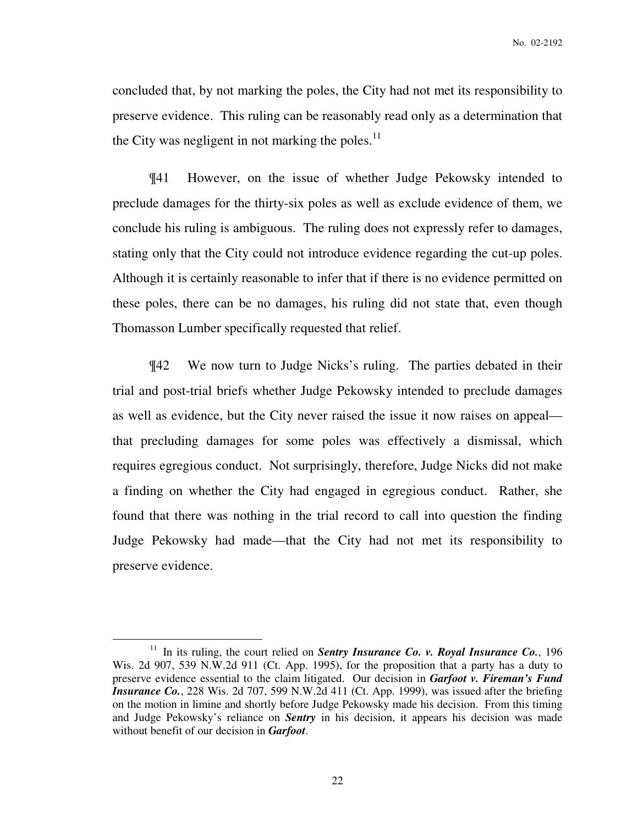concluded that, by not marking the poles, the City had not met its responsibility to preserve evidence. This ruling can be reasonably read only as a determination that the City was negligent in not marking the poles. $^{11}$ 

¶41 However, on the issue of whether Judge Pekowsky intended to preclude damages for the thirty-six poles as well as exclude evidence of them, we conclude his ruling is ambiguous. The ruling does not expressly refer to damages, stating only that the City could not introduce evidence regarding the cut-up poles. Although it is certainly reasonable to infer that if there is no evidence permitted on these poles, there can be no damages, his ruling did not state that, even though Thomasson Lumber specifically requested that relief.

¶42 We now turn to Judge Nicks's ruling. The parties debated in their trial and post-trial briefs whether Judge Pekowsky intended to preclude damages as well as evidence, but the City never raised the issue it now raises on appeal that precluding damages for some poles was effectively a dismissal, which requires egregious conduct. Not surprisingly, therefore, Judge Nicks did not make a finding on whether the City had engaged in egregious conduct. Rather, she found that there was nothing in the trial record to call into question the finding Judge Pekowsky had made—that the City had not met its responsibility to preserve evidence.

<sup>&</sup>lt;sup>11</sup> In its ruling, the court relied on *Sentry Insurance Co. v. Royal Insurance Co.*, 196 Wis. 2d 907, 539 N.W.2d 911 (Ct. App. 1995), for the proposition that a party has a duty to preserve evidence essential to the claim litigated. Our decision in *Garfoot v. Fireman's Fund Insurance Co.*, 228 Wis. 2d 707, 599 N.W.2d 411 (Ct. App. 1999), was issued after the briefing on the motion in limine and shortly before Judge Pekowsky made his decision. From this timing and Judge Pekowsky's reliance on *Sentry* in his decision, it appears his decision was made without benefit of our decision in *Garfoot*.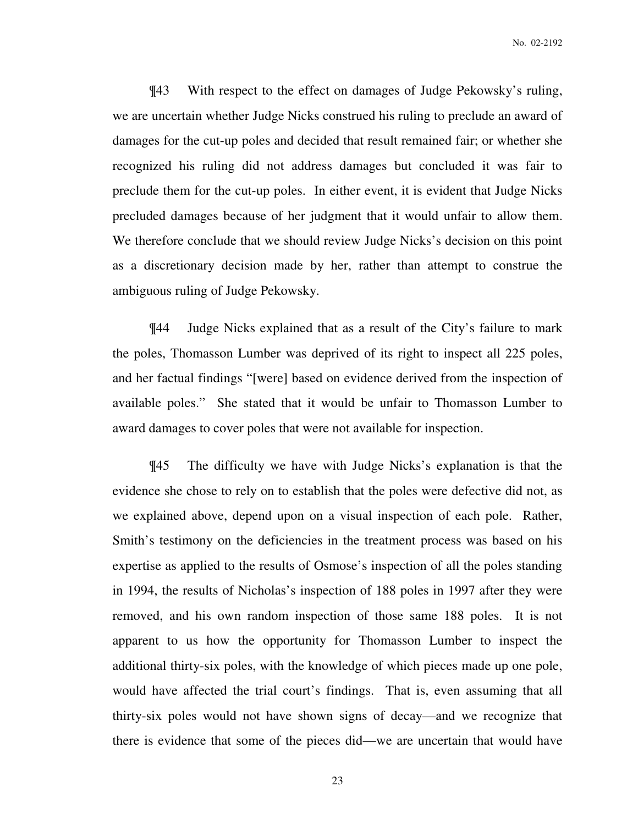¶43 With respect to the effect on damages of Judge Pekowsky's ruling, we are uncertain whether Judge Nicks construed his ruling to preclude an award of damages for the cut-up poles and decided that result remained fair; or whether she recognized his ruling did not address damages but concluded it was fair to preclude them for the cut-up poles. In either event, it is evident that Judge Nicks precluded damages because of her judgment that it would unfair to allow them. We therefore conclude that we should review Judge Nicks's decision on this point as a discretionary decision made by her, rather than attempt to construe the ambiguous ruling of Judge Pekowsky.

¶44 Judge Nicks explained that as a result of the City's failure to mark the poles, Thomasson Lumber was deprived of its right to inspect all 225 poles, and her factual findings "[were] based on evidence derived from the inspection of available poles." She stated that it would be unfair to Thomasson Lumber to award damages to cover poles that were not available for inspection.

¶45 The difficulty we have with Judge Nicks's explanation is that the evidence she chose to rely on to establish that the poles were defective did not, as we explained above, depend upon on a visual inspection of each pole. Rather, Smith's testimony on the deficiencies in the treatment process was based on his expertise as applied to the results of Osmose's inspection of all the poles standing in 1994, the results of Nicholas's inspection of 188 poles in 1997 after they were removed, and his own random inspection of those same 188 poles. It is not apparent to us how the opportunity for Thomasson Lumber to inspect the additional thirty-six poles, with the knowledge of which pieces made up one pole, would have affected the trial court's findings. That is, even assuming that all thirty-six poles would not have shown signs of decay—and we recognize that there is evidence that some of the pieces did—we are uncertain that would have